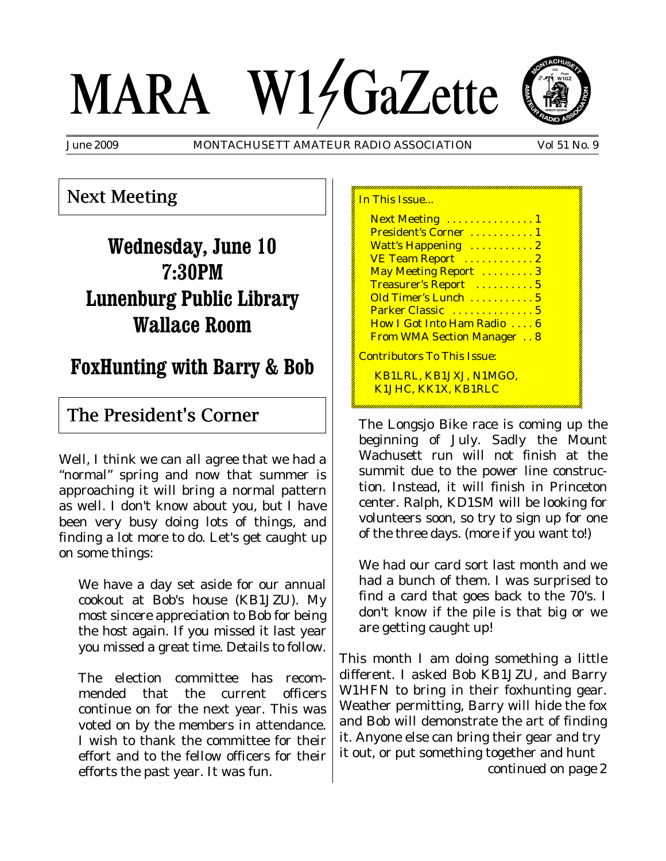# MARA W14GaZette



June 2009 MONTACHUSETT AMATEUR RADIO ASSOCIATION Vol 51 No. 9

## Next Meeting

# **Wednesday, June 10 7:30PM Lunenburg Public Library Wallace Room**

# **FoxHunting with Barry & Bob**

## The President's Corner

Well, I think we can all agree that we had a "normal" spring and now that summer is approaching it will bring a normal pattern as well. I don't know about you, but I have been very busy doing lots of things, and finding a lot more to do. Let's get caught up on some things:

We have a day set aside for our annual cookout at Bob's house (KB1JZU). My most sincere appreciation to Bob for being the host again. If you missed it last year you missed a great time. Details to follow.

The election committee has recommended that the current officers continue on for the next year. This was voted on by the members in attendance. I wish to thank the committee for their effort and to the fellow officers for their efforts the past year. It was fun.

In This Issue... **Next Meeting ............... 1** President's Corner ........... 1 Watt's Happening ...........2 VE Team Report ............. 2 May Meeting Report .........3 Treasurer's Report .......... 5 Old Timer's Lunch . . . . . . . . . . 5 Parker Classic . . . . . . . . . . . . 5 How I Got Into Ham Radio . . . . 6 From WMA Section Manager . . 8 Contributors To This Issue: KB1LRL, KB1JXJ, N1MGO, K1JHC, KK1X, KB1RLC

The Longsjo Bike race is coming up the beginning of July. Sadly the Mount Wachusett run will not finish at the summit due to the power line construction. Instead, it will finish in Princeton center. Ralph, KD1SM will be looking for volunteers soon, so try to sign up for one of the three days. (more if you want to!)

We had our card sort last month and we had a bunch of them. I was surprised to find a card that goes back to the 70's. I don't know if the pile is that big or we are getting caught up!

This month I am doing something a little different. I asked Bob KB1JZU, and Barry W1HFN to bring in their foxhunting gear. Weather permitting, Barry will hide the fox and Bob will demonstrate the art of finding it. Anyone else can bring their gear and try it out, or put something together and hunt *continued on page 2*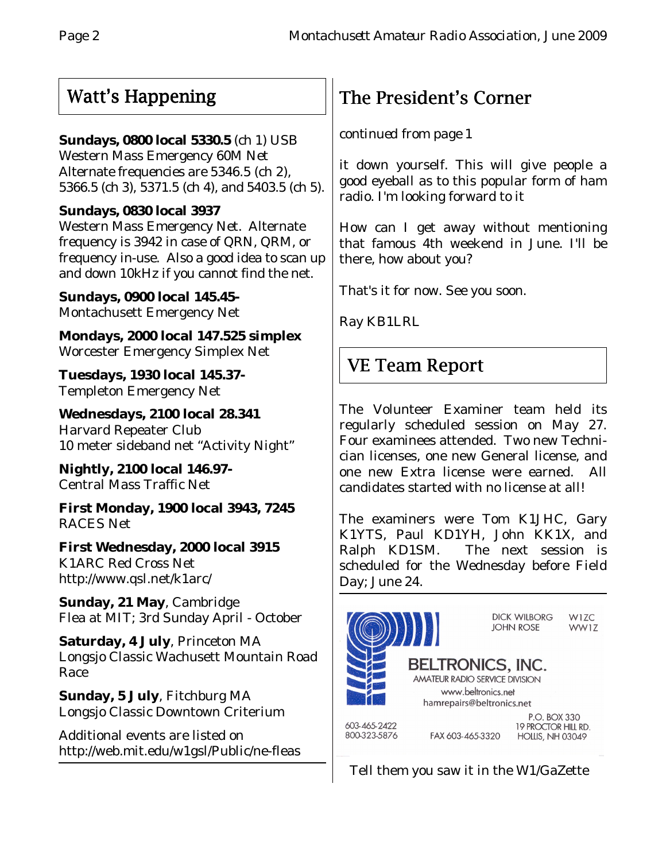## Watt's Happening

## **Sundays, 0800 local 5330.5** (ch 1) USB

Western Mass Emergency 60M Net Alternate frequencies are 5346.5 (ch 2), 5366.5 (ch 3), 5371.5 (ch 4), and 5403.5 (ch 5).

## **Sundays, 0830 local 3937**

Western Mass Emergency Net. Alternate frequency is 3942 in case of QRN, QRM, or frequency in-use. Also a good idea to scan up and down 10kHz if you cannot find the net.

**Sundays, 0900 local 145.45-** Montachusett Emergency Net

**Mondays, 2000 local 147.525 simplex** Worcester Emergency Simplex Net

**Tuesdays, 1930 local 145.37-** Templeton Emergency Net

**Wednesdays, 2100 local 28.341** Harvard Repeater Club 10 meter sideband net "Activity Night"

**Nightly, 2100 local 146.97-** Central Mass Traffic Net

**First Monday, 1900 local 3943, 7245** RACES Net

**First Wednesday, 2000 local 3915** K1ARC Red Cross Net http://www.qsl.net/k1arc/

**Sunday, 21 May**, Cambridge Flea at MIT; 3rd Sunday April - October

**Saturday, 4 July**, Princeton MA Longsjo Classic Wachusett Mountain Road Race

**Sunday, 5 July**, Fitchburg MA Longsjo Classic Downtown Criterium

Additional events are listed on http://web.mit.edu/w1gsl/Public/ne-fleas

## The President's Corner

*continued from page 1*

it down yourself. This will give people a good eyeball as to this popular form of ham radio. I'm looking forward to it

How can I get away without mentioning that famous 4th weekend in June. I'll be there, how about you?

That's it for now. See you soon.

Ray KB1LRL

## VE Team Report

The Volunteer Examiner team held its regularly scheduled session on May 27. Four examinees attended. Two new Technician licenses, one new General license, and one new Extra license were earned. All candidates started with no license at all!

The examiners were Tom K1JHC, Gary K1YTS, Paul KD1YH, John KK1X, and Ralph KD1SM. The next session is scheduled for the Wednesday before Field Day; June 24.



Tell them you saw it in the W1/GaZette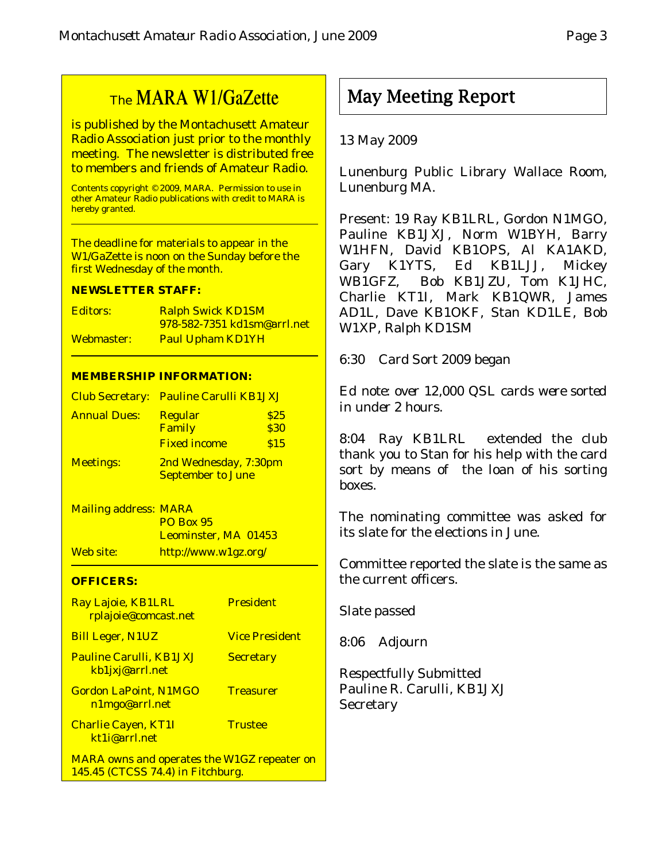## The MARA W1/GaZette

is published by the Montachusett Amateur Radio Association just prior to the monthly meeting. The newsletter is distributed free to members and friends of Amateur Radio.

Contents copyright © 2009, MARA. Permission to use in other Amateur Radio publications with credit to MARA is hereby granted.

The deadline for materials to appear in the W1/GaZette is noon on the Sunday before the first Wednesday of the month.

#### **NEWSLETTER STAFF:**

| Editors:   | <b>Ralph Swick KD1SM</b>           |  |
|------------|------------------------------------|--|
|            | <u>978-582-7351 kd1sm@arrl.net</u> |  |
| Webmaster: | <b>Paul Upham KD1YH</b>            |  |

#### **MEMBERSHIP INFORMATION:**

|                     | Club Secretary: Pauline Carulli KB1JXJ |      |  |
|---------------------|----------------------------------------|------|--|
| <b>Annual Dues:</b> | <b>Regular</b>                         | \$25 |  |
|                     | Family                                 | \$30 |  |
|                     | <b>Fixed income</b>                    | \$15 |  |
| <b>Meetings:</b>    | 2nd Wednesday, 7:30pm                  |      |  |
|                     | <b>September to June</b>               |      |  |

Mailing address: MARA PO Box 95 Leominster, MA 01453 Web site: http://www.w1gz.org/

#### **OFFICERS:**

| Ray Lajoie, KB1LRL<br>rplajoie@comcast.net                                              | <b>President</b>      |
|-----------------------------------------------------------------------------------------|-----------------------|
| <b>Bill Leger, N1UZ</b>                                                                 | <b>Vice President</b> |
| <b>Pauline Carulli, KB1JXJ</b><br>kb1jxj@arrl.net                                       | <b>Secretary</b>      |
| <b>Gordon LaPoint, N1MGO</b><br>n1mgo@arrl.net                                          | <b>Treasurer</b>      |
| <b>Charlie Cayen, KT1I</b><br>kt1j@arrl.net                                             | <b>Trustee</b>        |
| <b>MARA owns and operates the W1GZ repeater on</b><br>145.45 (CTCSS 74.4) in Fitchburg. |                       |

## May Meeting Report

#### 13 May 2009

Lunenburg Public Library Wallace Room, Lunenburg MA.

Present: 19 Ray KB1LRL, Gordon N1MGO, Pauline KB1JXJ, Norm W1BYH, Barry W1HFN, David KB1OPS, Al KA1AKD, Gary K1YTS, Ed KB1LJJ, Mickey WB1GFZ, Bob KB1JZU, Tom K1JHC, Charlie KT1I, Mark KB1QWR, James AD1L, Dave KB1OKF, Stan KD1LE, Bob W1XP, Ralph KD1SM

6:30 Card Sort 2009 began

*Ed note: over 12,000 QSL cards were sorted in under 2 hours.*

8:04 Ray KB1LRL extended the club thank you to Stan for his help with the card sort by means of the loan of his sorting boxes.

The nominating committee was asked for its slate for the elections in June.

Committee reported the slate is the same as the current officers.

Slate passed

8:06 Adjourn

Respectfully Submitted Pauline R. Carulli, KB1JXJ **Secretary**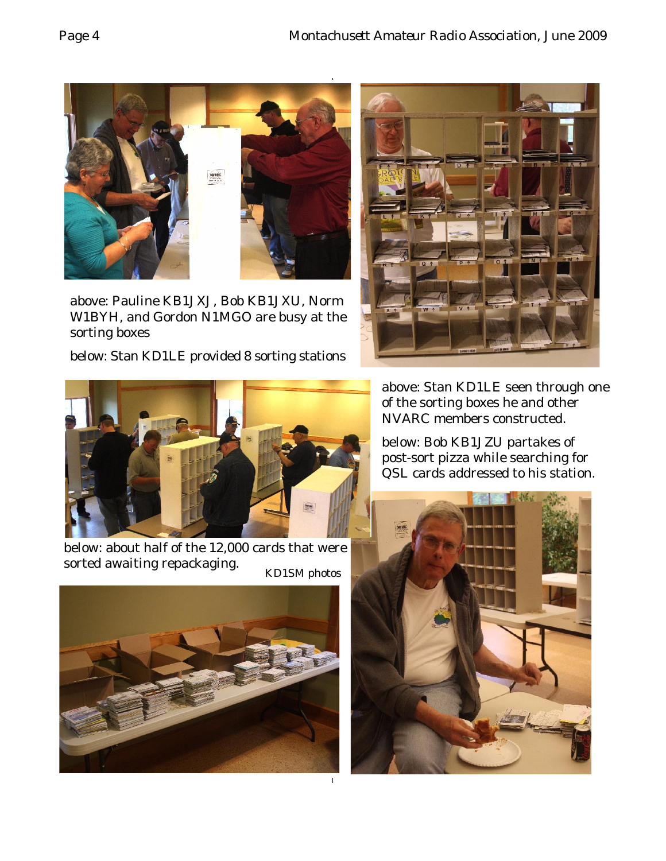

above: Pauline KB1JXJ, Bob KB1JXU, Norm W1BYH, and Gordon N1MGO are busy at the sorting boxes

below: Stan KD1LE provided 8 sorting stations





below: about half of the 12,000 cards that were sorted awaiting repackaging. KD1SM photos



above: Stan KD1LE seen through one of the sorting boxes he and other NVARC members constructed.

below: Bob KB1JZU partakes of post-sort pizza while searching for QSL cards addressed to his station.

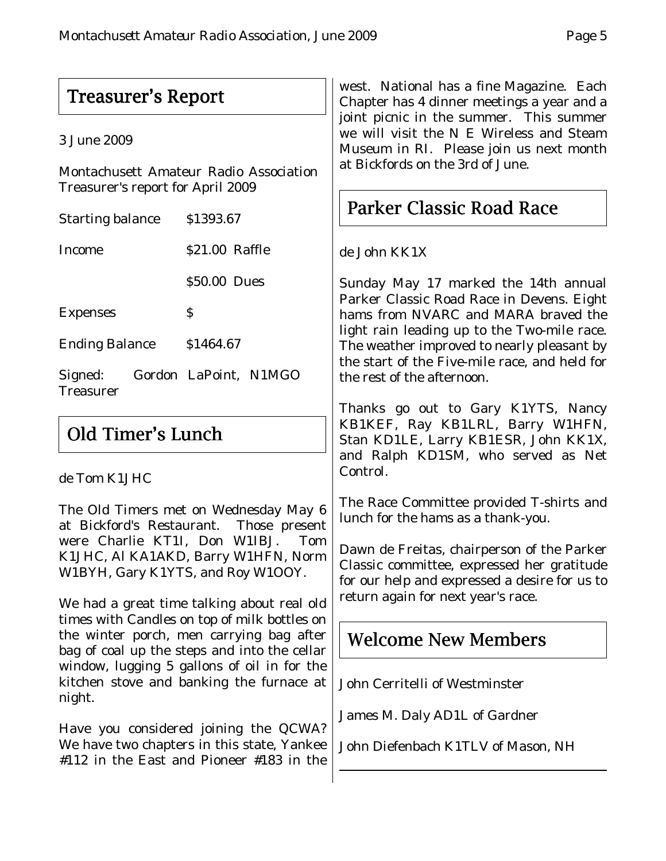## Treasurer's Report

3 June 2009

Montachusett Amateur Radio Association Treasurer's report for April 2009

| <b>Starting balance</b>     |  | \$1393.67             |  |
|-----------------------------|--|-----------------------|--|
| <b>Income</b>               |  | \$21.00 Raffle        |  |
|                             |  | \$50.00 Dues          |  |
| <b>Expenses</b>             |  | S                     |  |
| <b>Ending Balance</b>       |  | \$1464.67             |  |
| Signed:<br><b>Treasurer</b> |  | Gordon LaPoint, N1MGO |  |

## Old Timer's Lunch

### de Tom K1JHC

The Old Timers met on Wednesday May 6 at Bickford's Restaurant. Those present were Charlie KT1I, Don W1IBJ. Tom K1JHC, Al KA1AKD, Barry W1HFN, Norm W1BYH, Gary K1YTS, and Roy W1OOY.

We had a great time talking about real old times with Candles on top of milk bottles on the winter porch, men carrying bag after bag of coal up the steps and into the cellar window, lugging 5 gallons of oil in for the kitchen stove and banking the furnace at night.

Have you considered joining the QCWA? We have two chapters in this state, Yankee #112 in the East and Pioneer #183 in the

west. National has a fine Magazine. Each Chapter has 4 dinner meetings a year and a joint picnic in the summer. This summer we will visit the N E Wireless and Steam Museum in RI. Please join us next month at Bickfords on the 3rd of June.

## Parker Classic Road Race

de John KK1X

Sunday May 17 marked the 14th annual Parker Classic Road Race in Devens. Eight hams from NVARC and MARA braved the light rain leading up to the Two-mile race. The weather improved to nearly pleasant by the start of the Five-mile race, and held for the rest of the afternoon.

Thanks go out to Gary K1YTS, Nancy KB1KEF, Ray KB1LRL, Barry W1HFN, Stan KD1LE, Larry KB1ESR, John KK1X, and Ralph KD1SM, who served as Net Control.

The Race Committee provided T-shirts and lunch for the hams as a thank-you.

Dawn de Freitas, chairperson of the Parker Classic committee, expressed her gratitude for our help and expressed a desire for us to return again for next year's race.

## Welcome New Members

John Cerritelli of Westminster

James M. Daly AD1L of Gardner

John Diefenbach K1TLV of Mason, NH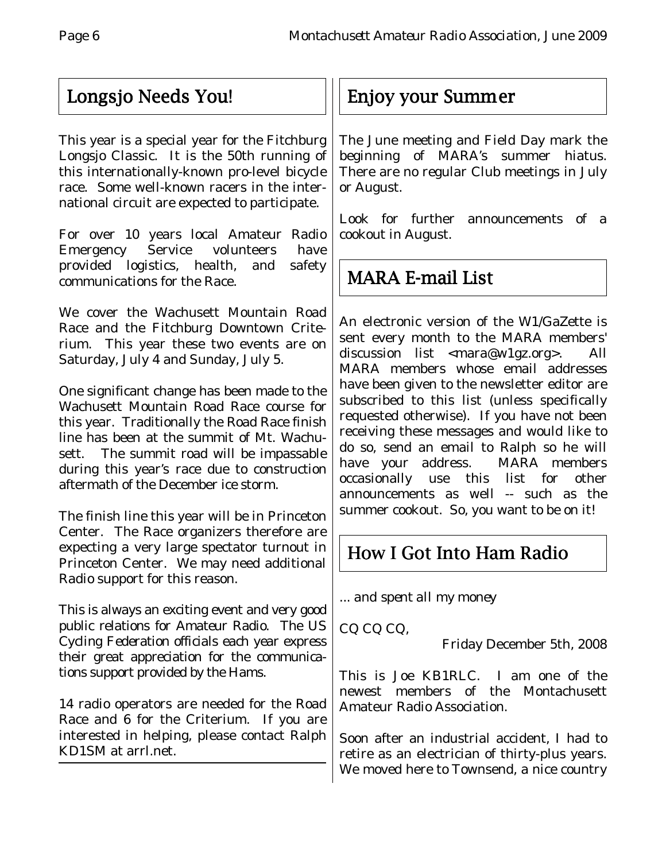## Longsjo Needs You! Longsjo Needs You!

This year is a special year for the Fitchburg Longsjo Classic. It is the 50th running of this internationally-known pro-level bicycle race. Some well-known racers in the international circuit are expected to participate.

For over 10 years local Amateur Radio Emergency Service volunteers have provided logistics, health, and safety communications for the Race.

We cover the Wachusett Mountain Road Race and the Fitchburg Downtown Criterium. This year these two events are on Saturday, July 4 and Sunday, July 5.

One significant change has been made to the Wachusett Mountain Road Race course for this year. Traditionally the Road Race finish line has been at the summit of Mt. Wachusett. The summit road will be impassable during this year's race due to construction aftermath of the December ice storm.

The finish line this year will be in Princeton Center. The Race organizers therefore are expecting a very large spectator turnout in Princeton Center. We may need additional Radio support for this reason.

This is always an exciting event and very good public relations for Amateur Radio. The US Cycling Federation officials each year express their great appreciation for the communications support provided by the Hams.

14 radio operators are needed for the Road Race and 6 for the Criterium. If you are interested in helping, please contact Ralph KD1SM at arrl.net.

## Enjoy your Summer

The June meeting and Field Day mark the beginning of MARA's summer hiatus. There are no regular Club meetings in July or August.

Look for further announcements of a cookout in August.

# MARA E-mail List

An electronic version of the W1/GaZette is sent every month to the MARA members' discussion list <mara@w1gz.org>. All MARA members whose email addresses have been given to the newsletter editor are subscribed to this list (unless specifically requested otherwise). If you have not been receiving these messages and would like to do so, send an email to Ralph so he will have your address. MARA members occasionally use this list for other announcements as well -- such as the summer cookout. So, you want to be on it!

# How I Got Into Ham Radio

... *and spent all my money*

CQ CQ CQ,

Friday December 5th, 2008

This is Joe KB1RLC. I am one of the newest members of the Montachusett Amateur Radio Association.

Soon after an industrial accident, I had to retire as an electrician of thirty-plus years. We moved here to Townsend, a nice country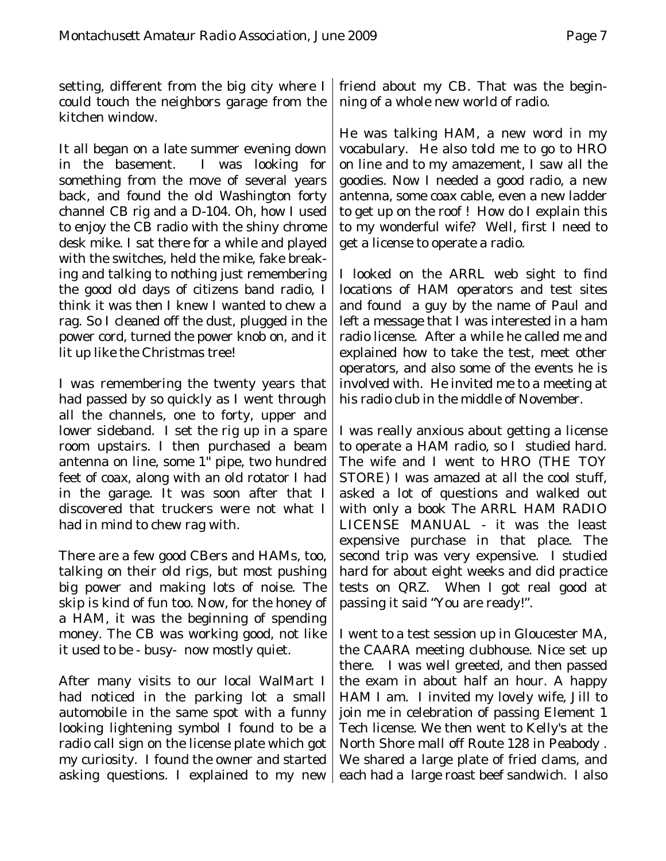setting, different from the big city where I could touch the neighbors garage from the kitchen window.

It all began on a late summer evening down in the basement. I was looking for something from the move of several years back, and found the old Washington forty channel CB rig and a D-104. Oh, how I used to enjoy the CB radio with the shiny chrome desk mike. I sat there for a while and played with the switches, held the mike, fake breaking and talking to nothing just remembering the good old days of citizens band radio, I think it was then I knew I wanted to chew a rag. So I cleaned off the dust, plugged in the power cord, turned the power knob on, and it lit up like the Christmas tree!

I was remembering the twenty years that had passed by so quickly as I went through all the channels, one to forty, upper and lower sideband. I set the rig up in a spare room upstairs. I then purchased a beam antenna on line, some 1" pipe, two hundred feet of coax, along with an old rotator I had in the garage. It was soon after that I discovered that truckers were not what I had in mind to chew rag with.

There are a few good CBers and HAMs, too, talking on their old rigs, but most pushing big power and making lots of noise. The skip is kind of fun too. Now, for the honey of a HAM, it was the beginning of spending money. The CB was working good, not like it used to be - busy- now mostly quiet.

After many visits to our local WalMart I had noticed in the parking lot a small automobile in the same spot with a funny looking lightening symbol I found to be a radio call sign on the license plate which got my curiosity. I found the owner and started asking questions. I explained to my new

friend about my CB. That was the beginning of a whole new world of radio.

He was talking HAM, a new word in my vocabulary. He also told me to go to HRO on line and to my amazement, I saw all the goodies. Now I needed a good radio, a new antenna, some coax cable, even a new ladder to get up on the roof ! How do I explain this to my wonderful wife? Well, first I need to get a license to operate a radio.

I looked on the ARRL web sight to find locations of HAM operators and test sites and found a guy by the name of Paul and left a message that I was interested in a ham radio license. After a while he called me and explained how to take the test, meet other operators, and also some of the events he is involved with. He invited me to a meeting at his radio club in the middle of November.

I was really anxious about getting a license to operate a HAM radio, so I studied hard. The wife and I went to HRO (THE TOY STORE) I was amazed at all the cool stuff, asked a lot of questions and walked out with only a book The ARRL HAM RADIO LICENSE MANUAL - it was the least expensive purchase in that place. The second trip was very expensive. I studied hard for about eight weeks and did practice tests on QRZ. When I got real good at passing it said "You are ready!".

I went to a test session up in Gloucester MA, the CAARA meeting clubhouse. Nice set up there. I was well greeted, and then passed the exam in about half an hour. A happy HAM I am. I invited my lovely wife, Jill to join me in celebration of passing Element 1 Tech license. We then went to Kelly's at the North Shore mall off Route 128 in Peabody . We shared a large plate of fried clams, and each had a large roast beef sandwich. I also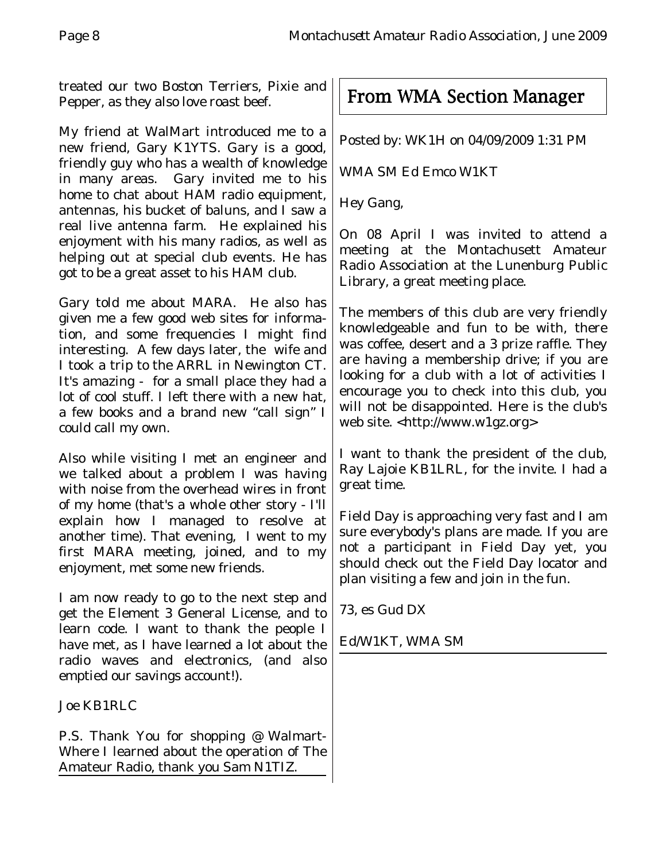treated our two Boston Terriers, Pixie and Pepper, as they also love roast beef.

My friend at WalMart introduced me to a new friend, Gary K1YTS. Gary is a good, friendly guy who has a wealth of knowledge in many areas. Gary invited me to his home to chat about HAM radio equipment, antennas, his bucket of baluns, and I saw a real live antenna farm. He explained his enjoyment with his many radios, as well as helping out at special club events. He has got to be a great asset to his HAM club.

Gary told me about MARA. He also has given me a few good web sites for information, and some frequencies I might find interesting. A few days later, the wife and I took a trip to the ARRL in Newington CT. It's amazing - for a small place they had a lot of cool stuff. I left there with a new hat, a few books and a brand new "call sign" I could call my own.

Also while visiting I met an engineer and we talked about a problem I was having with noise from the overhead wires in front of my home (that's a whole other story - I'll explain how I managed to resolve at another time). That evening, I went to my first MARA meeting, joined, and to my enjoyment, met some new friends.

I am now ready to go to the next step and get the Element 3 General License, and to learn code. I want to thank the people I have met, as I have learned a lot about the radio waves and electronics, (and also emptied our savings account!).

Joe KB1RLC

P.S. Thank You for shopping @ Walmart-Where I learned about the operation of The Amateur Radio, thank you Sam N1TIZ.

From WMA Section Manager

Posted by: WK1H on 04/09/2009 1:31 PM

WMA SM Ed Emco W1KT

Hey Gang,

On 08 April I was invited to attend a meeting at the Montachusett Amateur Radio Association at the Lunenburg Public Library, a great meeting place.

The members of this club are very friendly knowledgeable and fun to be with, there was coffee, desert and a 3 prize raffle. They are having a membership drive; if you are looking for a club with a lot of activities I encourage you to check into this club, you will not be disappointed. Here is the club's web site. <http://www.w1gz.org>

I want to thank the president of the club, Ray Lajoie KB1LRL, for the invite. I had a great time.

Field Day is approaching very fast and I am sure everybody's plans are made. If you are not a participant in Field Day yet, you should check out the Field Day locator and plan visiting a few and join in the fun.

73, es Gud DX

## Ed/W1KT, WMA SM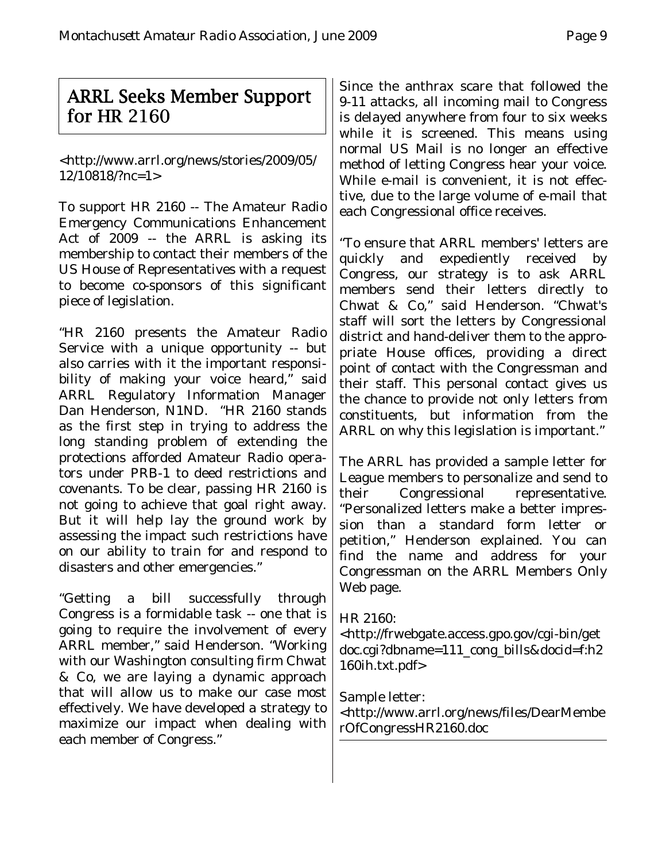## ARRL Seeks Member Support for HR 2160

<http://www.arrl.org/news/stories/2009/05/ 12/10818/?nc=1>

To support HR 2160 -- The Amateur Radio Emergency Communications Enhancement Act of 2009 -- the ARRL is asking its membership to contact their members of the US House of Representatives with a request to become co-sponsors of this significant piece of legislation.

"HR 2160 presents the Amateur Radio Service with a unique opportunity -- but also carries with it the important responsibility of making your voice heard," said ARRL Regulatory Information Manager Dan Henderson, N1ND. "HR 2160 stands as the first step in trying to address the long standing problem of extending the protections afforded Amateur Radio operators under PRB-1 to deed restrictions and covenants. To be clear, passing HR 2160 is not going to achieve that goal right away. But it will help lay the ground work by assessing the impact such restrictions have on our ability to train for and respond to disasters and other emergencies."

"Getting a bill successfully through Congress is a formidable task -- one that is going to require the involvement of every ARRL member," said Henderson. "Working with our Washington consulting firm Chwat & Co, we are laying a dynamic approach that will allow us to make our case most effectively. We have developed a strategy to maximize our impact when dealing with each member of Congress."

Since the anthrax scare that followed the 9-11 attacks, all incoming mail to Congress is delayed anywhere from four to six weeks while it is screened. This means using normal US Mail is no longer an effective method of letting Congress hear your voice. While e-mail is convenient, it is not effective, due to the large volume of e-mail that each Congressional office receives.

"To ensure that ARRL members' letters are quickly and expediently received by Congress, our strategy is to ask ARRL members send their letters directly to Chwat & Co," said Henderson. "Chwat's staff will sort the letters by Congressional district and hand-deliver them to the appropriate House offices, providing a direct point of contact with the Congressman and their staff. This personal contact gives us the chance to provide not only letters from constituents, but information from the ARRL on why this legislation is important."

The ARRL has provided a sample letter for League members to personalize and send to their Congressional representative. "Personalized letters make a better impression than a standard form letter or petition," Henderson explained. You can find the name and address for your Congressman on the ARRL Members Only Web page.

## HR 2160:

<http://frwebgate.access.gpo.gov/cgi-bin/get doc.cgi?dbname=111\_cong\_bills&docid=f:h2 160ih.txt.pdf>

Sample letter:

<http://www.arrl.org/news/files/DearMembe rOfCongressHR2160.doc